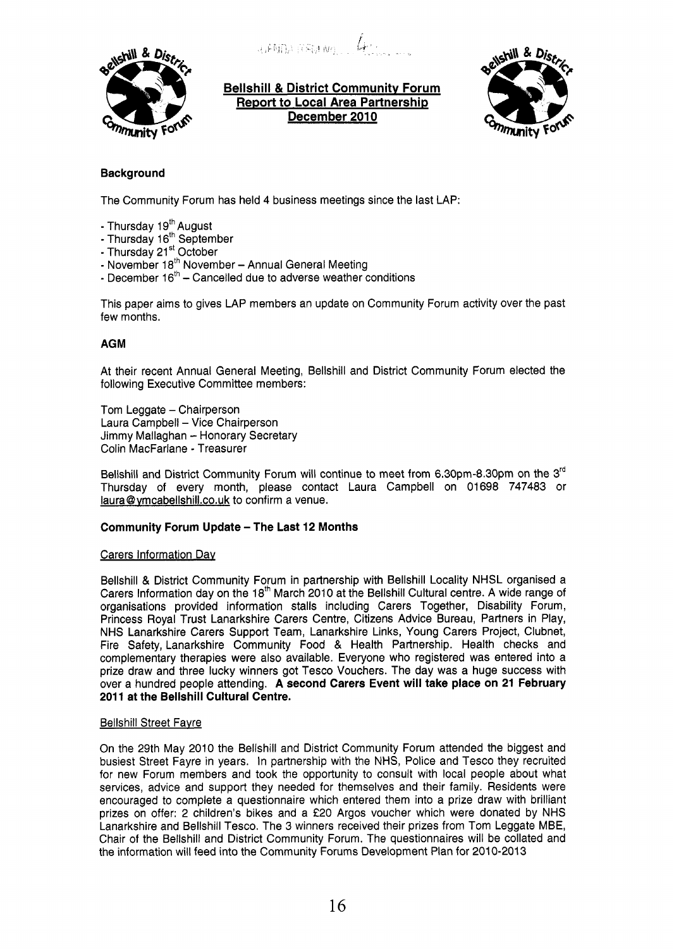$J$ <sub>i</sub>  $I$   $\mathbb{R}$   $\mathbb{R}$   $\mathbb{R}$   $\mathbb{R}$   $\mathbb{R}$   $\mathbb{R}$   $\mathbb{R}$   $\mathbb{R}$   $\mathbb{R}$   $\mathbb{R}$   $\mathbb{R}$   $\mathbb{R}$   $\mathbb{R}$   $\mathbb{R}$   $\mathbb{R}$   $\mathbb{R}$   $\mathbb{R}$   $\mathbb{R}$   $\mathbb{R}$   $\mathbb{R}$   $\mathbb{R}$   $\mathbb{R}$   $\mathbb{R}$   $\math$ 



**Bellshill** & **District Communitv Forum Report to Local Area Partnership**  December 2010



# **Background**

The Community Forum has held 4 business meetings since the last LAP:

- Thursday 19<sup>th</sup> August
- Thursday 16<sup>th</sup> September
- Thursday 21<sup>st</sup> October
- Thursday 21 October<br>- November 18<sup>th</sup> November Annual General Meeting
- November 18<sup>-</sup> November Annual General Meeting<br>- December 16<sup>th</sup> Cancelled due to adverse weather conditions

This paper aims to gives LAP members an update on Community Forum activity over the past few months.

# **AGM**

At their recent Annual General Meeting, Bellshill and District Community Forum elected the following Executive Committee members:

Tom Leggate - Chairperson Laura Campbell - Vice Chairperson Jimmy Mallaghan - Honorary Secretary Colin MacFarlane - Treasurer

Bellshill and District Community Forum will continue to meet from 6.30pm-8.30pm on the 3<sup>rd</sup> Thursday of every month, please contact Laura Campbell on 01698 747483 or laura@ymcabellshill.co.uk to confirm a venue.

## **Community Forum Update - The Last 12 Months**

## Carers Information Dav

Bellshill & District Community Forum in partnership with Bellshill Locality NHSL organised a Carers Information day on the 18<sup>th</sup> March 2010 at the Bellshill Cultural centre. A wide range of organisations provided information stalls including Carers Together, Disability Forum, Princess Royal Trust Lanarkshire Carers Centre, Citizens Advice Bureau, Partners in Play, NHS Lanarkshire Carers Support Team, Lanarkshire Links, Young Carers Project, Clubnet, Fire Safety, Lanarkshire Community Food & Health Partnership. Health checks and complementary therapies were also available. Everyone who registered was entered into a prize draw and three lucky winners got Tesco Vouchers. The day was a huge success with over a hundred people attending. **A second Carers Event will take place on 21 February 2011 at the Bellshill Cultural Centre.** 

## Bellshill Street Favre

On the 29th May 2010 the Bellshill and District Community Forum attended the biggest and busiest Street Fayre in years. In partnership with the **NHS,** Police and Tesco they recruited for new Forum members and took the opportunity to consult with local people about what services, advice and support they needed for themselves and their family. Residents were encouraged to complete a questionnaire which entered them into a prize draw with brilliant prizes on offer: 2 children's bikes and a f20 Argos voucher which were donated by NHS Lanarkshire and Bellshill Tesco. The 3 winners received their prizes from Tom Leggate MBE, Chair of the Bellshill and District Community Forum. The questionnaires will be collated and the information will feed into the Community Forums Development Plan for 2010-2013